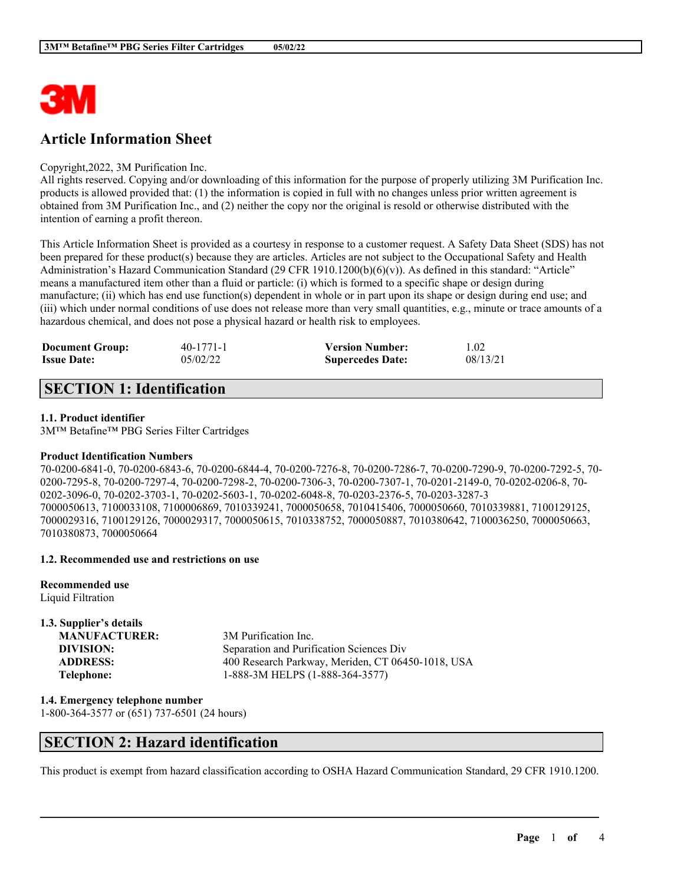

# **Article Information Sheet**

### Copyright,2022, 3M Purification Inc.

All rights reserved. Copying and/or downloading of this information for the purpose of properly utilizing 3M Purification Inc. products is allowed provided that: (1) the information is copied in full with no changes unless prior written agreement is obtained from 3M Purification Inc., and (2) neither the copy nor the original is resold or otherwise distributed with the intention of earning a profit thereon.

This Article Information Sheet is provided as a courtesy in response to a customer request. A Safety Data Sheet (SDS) has not been prepared for these product(s) because they are articles. Articles are not subject to the Occupational Safety and Health Administration's Hazard Communication Standard (29 CFR 1910.1200(b)(6)(v)). As defined in this standard: "Article" means a manufactured item other than a fluid or particle: (i) which is formed to a specific shape or design during manufacture; (ii) which has end use function(s) dependent in whole or in part upon its shape or design during end use; and (iii) which under normal conditions of use does not release more than very small quantities, e.g., minute or trace amounts of a hazardous chemical, and does not pose a physical hazard or health risk to employees.

| <b>Document Group:</b> | $40-1771-1$ | <b>Version Number:</b>  | 1.02     |
|------------------------|-------------|-------------------------|----------|
| <b>Issue Date:</b>     | 05/02/22    | <b>Supercedes Date:</b> | 08/13/21 |

# **SECTION 1: Identification**

### **1.1. Product identifier**

3M™ Betafine™ PBG Series Filter Cartridges

#### **Product Identification Numbers**

70-0200-6841-0, 70-0200-6843-6, 70-0200-6844-4, 70-0200-7276-8, 70-0200-7286-7, 70-0200-7290-9, 70-0200-7292-5, 70- 0200-7295-8, 70-0200-7297-4, 70-0200-7298-2, 70-0200-7306-3, 70-0200-7307-1, 70-0201-2149-0, 70-0202-0206-8, 70- 0202-3096-0, 70-0202-3703-1, 70-0202-5603-1, 70-0202-6048-8, 70-0203-2376-5, 70-0203-3287-3 7000050613, 7100033108, 7100006869, 7010339241, 7000050658, 7010415406, 7000050660, 7010339881, 7100129125, 7000029316, 7100129126, 7000029317, 7000050615, 7010338752, 7000050887, 7010380642, 7100036250, 7000050663, 7010380873, 7000050664

#### **1.2. Recommended use and restrictions on use**

**Recommended use** Liquid Filtration

| 1.3. Supplier's details |                                                   |
|-------------------------|---------------------------------------------------|
| <b>MANUFACTURER:</b>    | 3M Purification Inc.                              |
| DIVISION:               | Separation and Purification Sciences Div          |
| <b>ADDRESS:</b>         | 400 Research Parkway, Meriden, CT 06450-1018, USA |
| Telephone:              | 1-888-3M HELPS (1-888-364-3577)                   |

**1.4. Emergency telephone number** 1-800-364-3577 or (651) 737-6501 (24 hours)

### **SECTION 2: Hazard identification**

This product is exempt from hazard classification according to OSHA Hazard Communication Standard, 29 CFR 1910.1200.

 $\mathcal{L}_\mathcal{L} = \mathcal{L}_\mathcal{L} = \mathcal{L}_\mathcal{L} = \mathcal{L}_\mathcal{L} = \mathcal{L}_\mathcal{L} = \mathcal{L}_\mathcal{L} = \mathcal{L}_\mathcal{L} = \mathcal{L}_\mathcal{L} = \mathcal{L}_\mathcal{L} = \mathcal{L}_\mathcal{L} = \mathcal{L}_\mathcal{L} = \mathcal{L}_\mathcal{L} = \mathcal{L}_\mathcal{L} = \mathcal{L}_\mathcal{L} = \mathcal{L}_\mathcal{L} = \mathcal{L}_\mathcal{L} = \mathcal{L}_\mathcal{L}$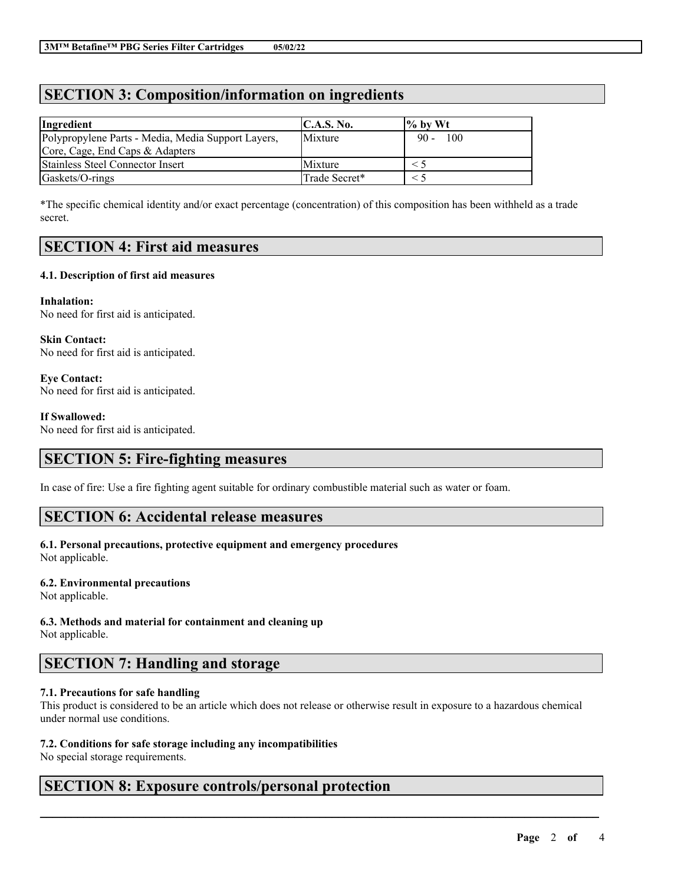# **SECTION 3: Composition/information on ingredients**

| Ingredient                                         | $\mathsf{IC}.\mathsf{A}.\mathsf{S}.\mathsf{No}.$ | $\frac{1}{6}$ by Wt |
|----------------------------------------------------|--------------------------------------------------|---------------------|
| Polypropylene Parts - Media, Media Support Layers, | Mixture                                          | 100<br>$90 -$       |
| Core, Cage, End Caps & Adapters                    |                                                  |                     |
| <b>Stainless Steel Connector Insert</b>            | <b>Mixture</b>                                   |                     |
| Gaskets/O-rings                                    | Trade Secret*                                    |                     |

\*The specific chemical identity and/or exact percentage (concentration) of this composition has been withheld as a trade secret.

# **SECTION 4: First aid measures**

### **4.1. Description of first aid measures**

**Inhalation:** No need for first aid is anticipated.

**Skin Contact:** No need for first aid is anticipated.

**Eye Contact:** No need for first aid is anticipated.

### **If Swallowed:**

No need for first aid is anticipated.

# **SECTION 5: Fire-fighting measures**

In case of fire: Use a fire fighting agent suitable for ordinary combustible material such as water or foam.

### **SECTION 6: Accidental release measures**

#### **6.1. Personal precautions, protective equipment and emergency procedures** Not applicable.

### **6.2. Environmental precautions**

Not applicable.

### **6.3. Methods and material for containment and cleaning up**

Not applicable.

### **SECTION 7: Handling and storage**

### **7.1. Precautions for safe handling**

This product is considered to be an article which does not release or otherwise result in exposure to a hazardous chemical under normal use conditions.

 $\mathcal{L}_\mathcal{L} = \mathcal{L}_\mathcal{L} = \mathcal{L}_\mathcal{L} = \mathcal{L}_\mathcal{L} = \mathcal{L}_\mathcal{L} = \mathcal{L}_\mathcal{L} = \mathcal{L}_\mathcal{L} = \mathcal{L}_\mathcal{L} = \mathcal{L}_\mathcal{L} = \mathcal{L}_\mathcal{L} = \mathcal{L}_\mathcal{L} = \mathcal{L}_\mathcal{L} = \mathcal{L}_\mathcal{L} = \mathcal{L}_\mathcal{L} = \mathcal{L}_\mathcal{L} = \mathcal{L}_\mathcal{L} = \mathcal{L}_\mathcal{L}$ 

### **7.2. Conditions for safe storage including any incompatibilities**

No special storage requirements.

# **SECTION 8: Exposure controls/personal protection**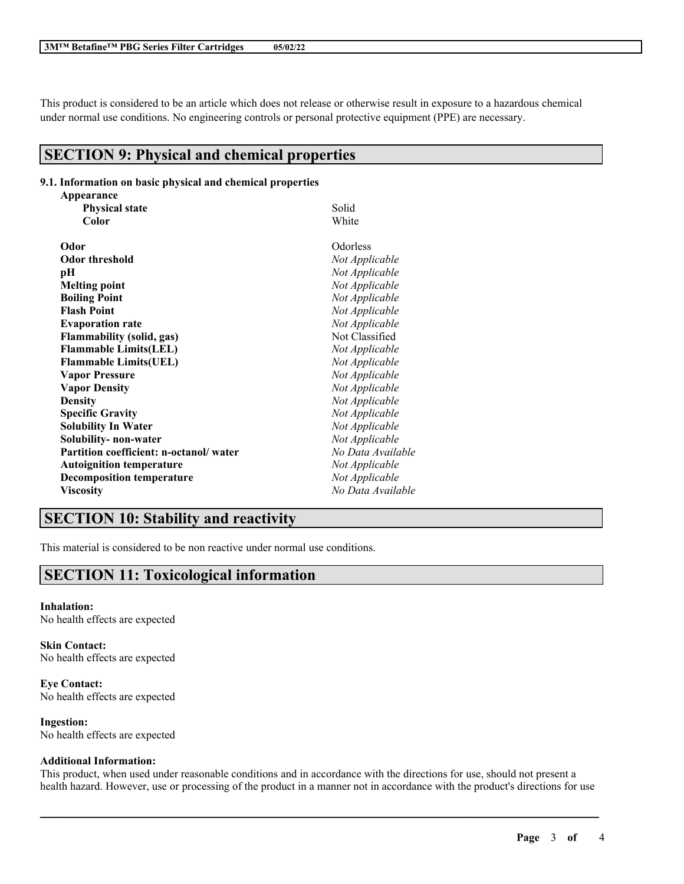This product is considered to be an article which does not release or otherwise result in exposure to a hazardous chemical under normal use conditions. No engineering controls or personal protective equipment (PPE) are necessary.

# **SECTION 9: Physical and chemical properties**

#### **9.1. Information on basic physical and chemical properties**

| Appearance                             |                   |  |
|----------------------------------------|-------------------|--|
| <b>Physical state</b>                  | Solid             |  |
| Color                                  | White             |  |
| Odor                                   | Odorless          |  |
| <b>Odor threshold</b>                  | Not Applicable    |  |
| рH                                     | Not Applicable    |  |
| <b>Melting point</b>                   | Not Applicable    |  |
| <b>Boiling Point</b>                   | Not Applicable    |  |
| <b>Flash Point</b>                     | Not Applicable    |  |
| <b>Evaporation rate</b>                | Not Applicable    |  |
| <b>Flammability (solid, gas)</b>       | Not Classified    |  |
| <b>Flammable Limits(LEL)</b>           | Not Applicable    |  |
| <b>Flammable Limits(UEL)</b>           | Not Applicable    |  |
| <b>Vapor Pressure</b>                  | Not Applicable    |  |
| <b>Vapor Density</b>                   | Not Applicable    |  |
| <b>Density</b>                         | Not Applicable    |  |
| <b>Specific Gravity</b>                | Not Applicable    |  |
| <b>Solubility In Water</b>             | Not Applicable    |  |
| Solubility- non-water                  | Not Applicable    |  |
| Partition coefficient: n-octanol/water | No Data Available |  |
| <b>Autoignition temperature</b>        | Not Applicable    |  |
| <b>Decomposition temperature</b>       | Not Applicable    |  |
| Viscosity                              | No Data Available |  |

## **SECTION 10: Stability and reactivity**

This material is considered to be non reactive under normal use conditions.

## **SECTION 11: Toxicological information**

**Inhalation:** No health effects are expected

**Skin Contact:** No health effects are expected

**Eye Contact:** No health effects are expected

**Ingestion:** No health effects are expected

### **Additional Information:**

This product, when used under reasonable conditions and in accordance with the directions for use, should not present a health hazard. However, use or processing of the product in a manner not in accordance with the product's directions for use

 $\mathcal{L}_\mathcal{L} = \mathcal{L}_\mathcal{L} = \mathcal{L}_\mathcal{L} = \mathcal{L}_\mathcal{L} = \mathcal{L}_\mathcal{L} = \mathcal{L}_\mathcal{L} = \mathcal{L}_\mathcal{L} = \mathcal{L}_\mathcal{L} = \mathcal{L}_\mathcal{L} = \mathcal{L}_\mathcal{L} = \mathcal{L}_\mathcal{L} = \mathcal{L}_\mathcal{L} = \mathcal{L}_\mathcal{L} = \mathcal{L}_\mathcal{L} = \mathcal{L}_\mathcal{L} = \mathcal{L}_\mathcal{L} = \mathcal{L}_\mathcal{L}$